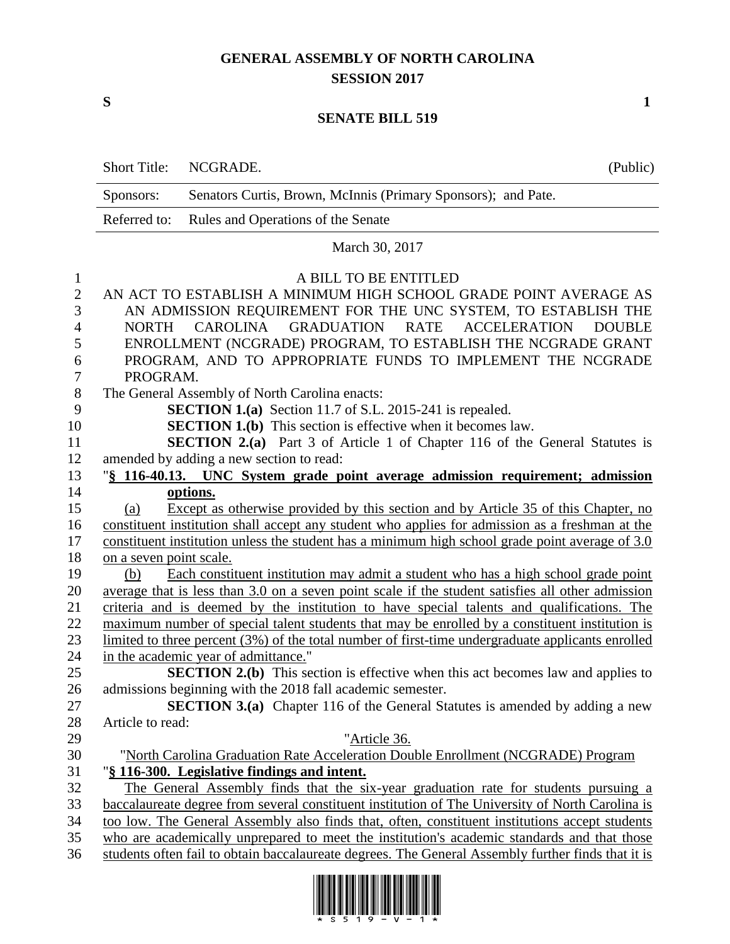## **GENERAL ASSEMBLY OF NORTH CAROLINA SESSION 2017**

**S 1**

## **SENATE BILL 519**

|                | <b>Short Title:</b>                                                                                         | NCGRADE.                                                                                                                                                                                               | (Public) |  |  |  |  |
|----------------|-------------------------------------------------------------------------------------------------------------|--------------------------------------------------------------------------------------------------------------------------------------------------------------------------------------------------------|----------|--|--|--|--|
|                | Sponsors:                                                                                                   | Senators Curtis, Brown, McInnis (Primary Sponsors); and Pate.                                                                                                                                          |          |  |  |  |  |
|                | Referred to:                                                                                                | Rules and Operations of the Senate                                                                                                                                                                     |          |  |  |  |  |
|                |                                                                                                             | March 30, 2017                                                                                                                                                                                         |          |  |  |  |  |
| 1              |                                                                                                             | A BILL TO BE ENTITLED                                                                                                                                                                                  |          |  |  |  |  |
| $\overline{2}$ |                                                                                                             | AN ACT TO ESTABLISH A MINIMUM HIGH SCHOOL GRADE POINT AVERAGE AS                                                                                                                                       |          |  |  |  |  |
| 3              | AN ADMISSION REQUIREMENT FOR THE UNC SYSTEM, TO ESTABLISH THE                                               |                                                                                                                                                                                                        |          |  |  |  |  |
| $\overline{4}$ | <b>GRADUATION</b><br><b>ACCELERATION</b><br><b>CAROLINA</b><br><b>RATE</b><br><b>NORTH</b><br><b>DOUBLE</b> |                                                                                                                                                                                                        |          |  |  |  |  |
| 5              |                                                                                                             | ENROLLMENT (NCGRADE) PROGRAM, TO ESTABLISH THE NCGRADE GRANT                                                                                                                                           |          |  |  |  |  |
| 6              | PROGRAM, AND TO APPROPRIATE FUNDS TO IMPLEMENT THE NCGRADE                                                  |                                                                                                                                                                                                        |          |  |  |  |  |
| 7              | PROGRAM.                                                                                                    |                                                                                                                                                                                                        |          |  |  |  |  |
| 8              | The General Assembly of North Carolina enacts:                                                              |                                                                                                                                                                                                        |          |  |  |  |  |
| 9              | <b>SECTION 1.(a)</b> Section 11.7 of S.L. 2015-241 is repealed.                                             |                                                                                                                                                                                                        |          |  |  |  |  |
| 10             | <b>SECTION 1.(b)</b> This section is effective when it becomes law.                                         |                                                                                                                                                                                                        |          |  |  |  |  |
| 11             | <b>SECTION 2.(a)</b> Part 3 of Article 1 of Chapter 116 of the General Statutes is                          |                                                                                                                                                                                                        |          |  |  |  |  |
| 12             | amended by adding a new section to read:                                                                    |                                                                                                                                                                                                        |          |  |  |  |  |
| 13             |                                                                                                             | "§ 116-40.13. UNC System grade point average admission requirement; admission                                                                                                                          |          |  |  |  |  |
| 14             |                                                                                                             | options.                                                                                                                                                                                               |          |  |  |  |  |
| 15             | (a)                                                                                                         | Except as otherwise provided by this section and by Article 35 of this Chapter, no                                                                                                                     |          |  |  |  |  |
| 16             | constituent institution shall accept any student who applies for admission as a freshman at the             |                                                                                                                                                                                                        |          |  |  |  |  |
| 17             | constituent institution unless the student has a minimum high school grade point average of 3.0             |                                                                                                                                                                                                        |          |  |  |  |  |
| 18             | on a seven point scale.                                                                                     |                                                                                                                                                                                                        |          |  |  |  |  |
| 19             | (b)                                                                                                         | Each constituent institution may admit a student who has a high school grade point                                                                                                                     |          |  |  |  |  |
| 20             |                                                                                                             | average that is less than 3.0 on a seven point scale if the student satisfies all other admission                                                                                                      |          |  |  |  |  |
| 21             | criteria and is deemed by the institution to have special talents and qualifications. The                   |                                                                                                                                                                                                        |          |  |  |  |  |
| 22             |                                                                                                             | maximum number of special talent students that may be enrolled by a constituent institution is<br>limited to three percent $(3\%)$ of the total number of first-time undergraduate applicants enrolled |          |  |  |  |  |
| 23             |                                                                                                             |                                                                                                                                                                                                        |          |  |  |  |  |
| 24<br>25       |                                                                                                             | in the academic year of admittance."<br><b>SECTION 2.(b)</b> This section is effective when this act becomes law and applies to                                                                        |          |  |  |  |  |
| 26             |                                                                                                             | admissions beginning with the 2018 fall academic semester.                                                                                                                                             |          |  |  |  |  |
| 27             |                                                                                                             | <b>SECTION 3.(a)</b> Chapter 116 of the General Statutes is amended by adding a new                                                                                                                    |          |  |  |  |  |
| 28             | Article to read:                                                                                            |                                                                                                                                                                                                        |          |  |  |  |  |
| 29             |                                                                                                             | "Article 36.                                                                                                                                                                                           |          |  |  |  |  |
| 30             |                                                                                                             | "North Carolina Graduation Rate Acceleration Double Enrollment (NCGRADE) Program                                                                                                                       |          |  |  |  |  |
| 31             |                                                                                                             | "§ 116-300. Legislative findings and intent.                                                                                                                                                           |          |  |  |  |  |
| 32             |                                                                                                             | The General Assembly finds that the six-year graduation rate for students pursuing a                                                                                                                   |          |  |  |  |  |
| 33             |                                                                                                             | baccalaureate degree from several constituent institution of The University of North Carolina is                                                                                                       |          |  |  |  |  |
| 34             | too low. The General Assembly also finds that, often, constituent institutions accept students              |                                                                                                                                                                                                        |          |  |  |  |  |
| 35             |                                                                                                             | who are academically unprepared to meet the institution's academic standards and that those                                                                                                            |          |  |  |  |  |
| 36             |                                                                                                             | students often fail to obtain baccalaureate degrees. The General Assembly further finds that it is                                                                                                     |          |  |  |  |  |

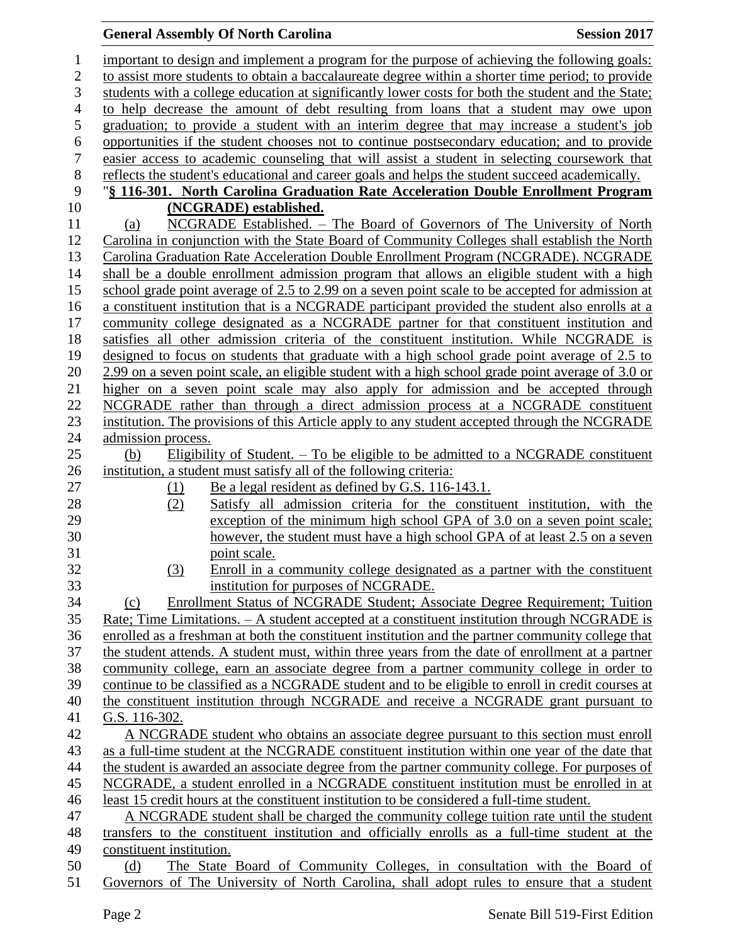## **General Assembly Of North Carolina Session 2017**

| $\mathbf{1}$     | important to design and implement a program for the purpose of achieving the following goals:      |  |  |  |  |
|------------------|----------------------------------------------------------------------------------------------------|--|--|--|--|
| $\overline{2}$   | to assist more students to obtain a baccalaureate degree within a shorter time period; to provide  |  |  |  |  |
| 3                | students with a college education at significantly lower costs for both the student and the State; |  |  |  |  |
| $\overline{4}$   | to help decrease the amount of debt resulting from loans that a student may owe upon               |  |  |  |  |
| 5                | graduation; to provide a student with an interim degree that may increase a student's job          |  |  |  |  |
| $\sqrt{6}$       | opportunities if the student chooses not to continue postsecondary education; and to provide       |  |  |  |  |
| $\boldsymbol{7}$ | easier access to academic counseling that will assist a student in selecting coursework that       |  |  |  |  |
| $8\,$            | reflects the student's educational and career goals and helps the student succeed academically.    |  |  |  |  |
| 9                | "§ 116-301. North Carolina Graduation Rate Acceleration Double Enrollment Program                  |  |  |  |  |
| 10               | (NCGRADE) established.                                                                             |  |  |  |  |
| 11               | NCGRADE Established. - The Board of Governors of The University of North<br>(a)                    |  |  |  |  |
| 12               | Carolina in conjunction with the State Board of Community Colleges shall establish the North       |  |  |  |  |
| 13               | Carolina Graduation Rate Acceleration Double Enrollment Program (NCGRADE). NCGRADE                 |  |  |  |  |
| 14               | shall be a double enrollment admission program that allows an eligible student with a high         |  |  |  |  |
| 15               | school grade point average of 2.5 to 2.99 on a seven point scale to be accepted for admission at   |  |  |  |  |
| 16               | a constituent institution that is a NCGRADE participant provided the student also enrolls at a     |  |  |  |  |
| 17               | community college designated as a NCGRADE partner for that constituent institution and             |  |  |  |  |
| 18               | satisfies all other admission criteria of the constituent institution. While NCGRADE is            |  |  |  |  |
| 19               | designed to focus on students that graduate with a high school grade point average of 2.5 to       |  |  |  |  |
| 20               | 2.99 on a seven point scale, an eligible student with a high school grade point average of 3.0 or  |  |  |  |  |
| 21               | higher on a seven point scale may also apply for admission and be accepted through                 |  |  |  |  |
| 22               | NCGRADE rather than through a direct admission process at a NCGRADE constituent                    |  |  |  |  |
| 23               | institution. The provisions of this Article apply to any student accepted through the NCGRADE      |  |  |  |  |
| 24               | admission process.                                                                                 |  |  |  |  |
| 25               | Eligibility of Student. $-$ To be eligible to be admitted to a NCGRADE constituent<br>(b)          |  |  |  |  |
| 26               | institution, a student must satisfy all of the following criteria:                                 |  |  |  |  |
| 27               | Be a legal resident as defined by G.S. 116-143.1.<br>(1)                                           |  |  |  |  |
| 28               | Satisfy all admission criteria for the constituent institution, with the<br>(2)                    |  |  |  |  |
| 29               | exception of the minimum high school GPA of 3.0 on a seven point scale;                            |  |  |  |  |
| 30               | however, the student must have a high school GPA of at least 2.5 on a seven                        |  |  |  |  |
| 31               | point scale.                                                                                       |  |  |  |  |
| 32               | Enroll in a community college designated as a partner with the constituent<br>(3)                  |  |  |  |  |
| 33               | institution for purposes of NCGRADE.                                                               |  |  |  |  |
| 34               | Enrollment Status of NCGRADE Student; Associate Degree Requirement; Tuition<br>(c)                 |  |  |  |  |
| 35               | Rate; Time Limitations. - A student accepted at a constituent institution through NCGRADE is       |  |  |  |  |
| 36               | enrolled as a freshman at both the constituent institution and the partner community college that  |  |  |  |  |
| 37               | the student attends. A student must, within three years from the date of enrollment at a partner   |  |  |  |  |
| 38               | community college, earn an associate degree from a partner community college in order to           |  |  |  |  |
| 39               | continue to be classified as a NCGRADE student and to be eligible to enroll in credit courses at   |  |  |  |  |
| 40               | the constituent institution through NCGRADE and receive a NCGRADE grant pursuant to                |  |  |  |  |
| 41               | G.S. 116-302.                                                                                      |  |  |  |  |
| 42               | A NCGRADE student who obtains an associate degree pursuant to this section must enroll             |  |  |  |  |
| 43               | as a full-time student at the NCGRADE constituent institution within one year of the date that     |  |  |  |  |
| 44               | the student is awarded an associate degree from the partner community college. For purposes of     |  |  |  |  |
| 45               | NCGRADE, a student enrolled in a NCGRADE constituent institution must be enrolled in at            |  |  |  |  |
| 46               | least 15 credit hours at the constituent institution to be considered a full-time student.         |  |  |  |  |
| 47               | A NCGRADE student shall be charged the community college tuition rate until the student            |  |  |  |  |
| 48               | transfers to the constituent institution and officially enrolls as a full-time student at the      |  |  |  |  |
| 49               | constituent institution.                                                                           |  |  |  |  |
| 50               | The State Board of Community Colleges, in consultation with the Board of<br>(d)                    |  |  |  |  |
|                  |                                                                                                    |  |  |  |  |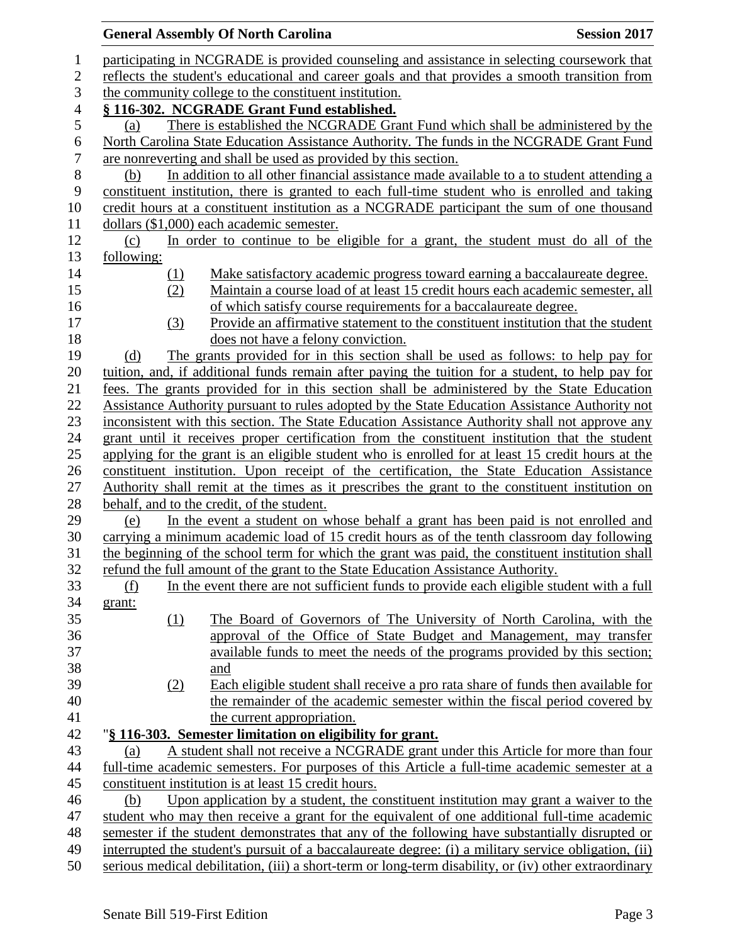|                                                                                                                                                                                                               |            | <b>General Assembly Of North Carolina</b>                                                         | <b>Session 2017</b> |  |  |  |  |
|---------------------------------------------------------------------------------------------------------------------------------------------------------------------------------------------------------------|------------|---------------------------------------------------------------------------------------------------|---------------------|--|--|--|--|
| participating in NCGRADE is provided counseling and assistance in selecting coursework that                                                                                                                   |            |                                                                                                   |                     |  |  |  |  |
| reflects the student's educational and career goals and that provides a smooth transition from                                                                                                                |            |                                                                                                   |                     |  |  |  |  |
| the community college to the constituent institution.                                                                                                                                                         |            |                                                                                                   |                     |  |  |  |  |
| § 116-302. NCGRADE Grant Fund established.                                                                                                                                                                    |            |                                                                                                   |                     |  |  |  |  |
| (a)                                                                                                                                                                                                           |            | There is established the NCGRADE Grant Fund which shall be administered by the                    |                     |  |  |  |  |
|                                                                                                                                                                                                               |            | North Carolina State Education Assistance Authority. The funds in the NCGRADE Grant Fund          |                     |  |  |  |  |
|                                                                                                                                                                                                               |            | are nonreverting and shall be used as provided by this section.                                   |                     |  |  |  |  |
| (b)                                                                                                                                                                                                           |            |                                                                                                   |                     |  |  |  |  |
| In addition to all other financial assistance made available to a to student attending a<br>constituent institution, there is granted to each full-time student who is enrolled and taking                    |            |                                                                                                   |                     |  |  |  |  |
|                                                                                                                                                                                                               |            | credit hours at a constituent institution as a NCGRADE participant the sum of one thousand        |                     |  |  |  |  |
|                                                                                                                                                                                                               |            | dollars $(\$1,000)$ each academic semester.                                                       |                     |  |  |  |  |
| (c)                                                                                                                                                                                                           |            | In order to continue to be eligible for a grant, the student must do all of the                   |                     |  |  |  |  |
| following:                                                                                                                                                                                                    |            |                                                                                                   |                     |  |  |  |  |
|                                                                                                                                                                                                               | <u>(1)</u> | Make satisfactory academic progress toward earning a baccalaureate degree.                        |                     |  |  |  |  |
|                                                                                                                                                                                                               | (2)        | Maintain a course load of at least 15 credit hours each academic semester, all                    |                     |  |  |  |  |
|                                                                                                                                                                                                               |            | of which satisfy course requirements for a baccalaureate degree.                                  |                     |  |  |  |  |
|                                                                                                                                                                                                               | (3)        | Provide an affirmative statement to the constituent institution that the student                  |                     |  |  |  |  |
|                                                                                                                                                                                                               |            | does not have a felony conviction.                                                                |                     |  |  |  |  |
| (d)                                                                                                                                                                                                           |            | The grants provided for in this section shall be used as follows: to help pay for                 |                     |  |  |  |  |
|                                                                                                                                                                                                               |            |                                                                                                   |                     |  |  |  |  |
| tuition, and, if additional funds remain after paying the tuition for a student, to help pay for<br>fees. The grants provided for in this section shall be administered by the State Education                |            |                                                                                                   |                     |  |  |  |  |
|                                                                                                                                                                                                               |            | Assistance Authority pursuant to rules adopted by the State Education Assistance Authority not    |                     |  |  |  |  |
|                                                                                                                                                                                                               |            | inconsistent with this section. The State Education Assistance Authority shall not approve any    |                     |  |  |  |  |
|                                                                                                                                                                                                               |            | grant until it receives proper certification from the constituent institution that the student    |                     |  |  |  |  |
|                                                                                                                                                                                                               |            | applying for the grant is an eligible student who is enrolled for at least 15 credit hours at the |                     |  |  |  |  |
|                                                                                                                                                                                                               |            | constituent institution. Upon receipt of the certification, the State Education Assistance        |                     |  |  |  |  |
| Authority shall remit at the times as it prescribes the grant to the constituent institution on                                                                                                               |            |                                                                                                   |                     |  |  |  |  |
| behalf, and to the credit, of the student.                                                                                                                                                                    |            |                                                                                                   |                     |  |  |  |  |
| In the event a student on whose behalf a grant has been paid is not enrolled and<br>(e)                                                                                                                       |            |                                                                                                   |                     |  |  |  |  |
|                                                                                                                                                                                                               |            | carrying a minimum academic load of 15 credit hours as of the tenth classroom day following       |                     |  |  |  |  |
| the beginning of the school term for which the grant was paid, the constituent institution shall                                                                                                              |            |                                                                                                   |                     |  |  |  |  |
|                                                                                                                                                                                                               |            | refund the full amount of the grant to the State Education Assistance Authority.                  |                     |  |  |  |  |
| (f)                                                                                                                                                                                                           |            | In the event there are not sufficient funds to provide each eligible student with a full          |                     |  |  |  |  |
| grant:                                                                                                                                                                                                        |            |                                                                                                   |                     |  |  |  |  |
|                                                                                                                                                                                                               | (1)        | The Board of Governors of The University of North Carolina, with the                              |                     |  |  |  |  |
|                                                                                                                                                                                                               |            | approval of the Office of State Budget and Management, may transfer                               |                     |  |  |  |  |
|                                                                                                                                                                                                               |            | available funds to meet the needs of the programs provided by this section;                       |                     |  |  |  |  |
|                                                                                                                                                                                                               |            | and                                                                                               |                     |  |  |  |  |
|                                                                                                                                                                                                               | (2)        | Each eligible student shall receive a pro rata share of funds then available for                  |                     |  |  |  |  |
|                                                                                                                                                                                                               |            | the remainder of the academic semester within the fiscal period covered by                        |                     |  |  |  |  |
|                                                                                                                                                                                                               |            | the current appropriation.                                                                        |                     |  |  |  |  |
|                                                                                                                                                                                                               |            | "§ 116-303. Semester limitation on eligibility for grant.                                         |                     |  |  |  |  |
|                                                                                                                                                                                                               |            |                                                                                                   |                     |  |  |  |  |
| (a)                                                                                                                                                                                                           |            | A student shall not receive a NCGRADE grant under this Article for more than four                 |                     |  |  |  |  |
| full-time academic semesters. For purposes of this Article a full-time academic semester at a<br>constituent institution is at least 15 credit hours.                                                         |            |                                                                                                   |                     |  |  |  |  |
| Upon application by a student, the constituent institution may grant a waiver to the                                                                                                                          |            |                                                                                                   |                     |  |  |  |  |
| (b)                                                                                                                                                                                                           |            |                                                                                                   |                     |  |  |  |  |
| student who may then receive a grant for the equivalent of one additional full-time academic<br>semester if the student demonstrates that any of the following have substantially disrupted or                |            |                                                                                                   |                     |  |  |  |  |
|                                                                                                                                                                                                               |            |                                                                                                   |                     |  |  |  |  |
| interrupted the student's pursuit of a baccalaureate degree: (i) a military service obligation, (ii)<br>serious medical debilitation, (iii) a short-term or long-term disability, or (iv) other extraordinary |            |                                                                                                   |                     |  |  |  |  |
|                                                                                                                                                                                                               |            |                                                                                                   |                     |  |  |  |  |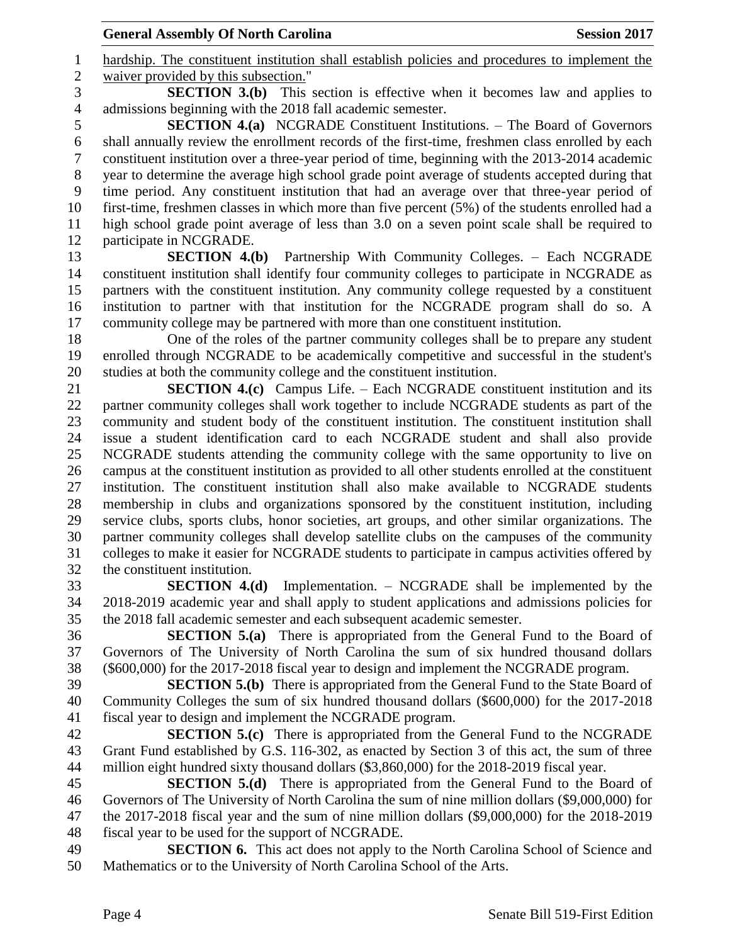hardship. The constituent institution shall establish policies and procedures to implement the waiver provided by this subsection."

 **SECTION 3.(b)** This section is effective when it becomes law and applies to admissions beginning with the 2018 fall academic semester.

 **SECTION 4.(a)** NCGRADE Constituent Institutions. – The Board of Governors shall annually review the enrollment records of the first-time, freshmen class enrolled by each constituent institution over a three-year period of time, beginning with the 2013-2014 academic year to determine the average high school grade point average of students accepted during that time period. Any constituent institution that had an average over that three-year period of first-time, freshmen classes in which more than five percent (5%) of the students enrolled had a high school grade point average of less than 3.0 on a seven point scale shall be required to participate in NCGRADE.

 **SECTION 4.(b)** Partnership With Community Colleges. – Each NCGRADE constituent institution shall identify four community colleges to participate in NCGRADE as partners with the constituent institution. Any community college requested by a constituent institution to partner with that institution for the NCGRADE program shall do so. A community college may be partnered with more than one constituent institution.

 One of the roles of the partner community colleges shall be to prepare any student enrolled through NCGRADE to be academically competitive and successful in the student's studies at both the community college and the constituent institution.

 **SECTION 4.(c)** Campus Life. – Each NCGRADE constituent institution and its partner community colleges shall work together to include NCGRADE students as part of the community and student body of the constituent institution. The constituent institution shall issue a student identification card to each NCGRADE student and shall also provide NCGRADE students attending the community college with the same opportunity to live on campus at the constituent institution as provided to all other students enrolled at the constituent institution. The constituent institution shall also make available to NCGRADE students membership in clubs and organizations sponsored by the constituent institution, including service clubs, sports clubs, honor societies, art groups, and other similar organizations. The partner community colleges shall develop satellite clubs on the campuses of the community colleges to make it easier for NCGRADE students to participate in campus activities offered by the constituent institution.

 **SECTION 4.(d)** Implementation. – NCGRADE shall be implemented by the 2018-2019 academic year and shall apply to student applications and admissions policies for the 2018 fall academic semester and each subsequent academic semester.

 **SECTION 5.(a)** There is appropriated from the General Fund to the Board of Governors of The University of North Carolina the sum of six hundred thousand dollars (\$600,000) for the 2017-2018 fiscal year to design and implement the NCGRADE program.

 **SECTION 5.(b)** There is appropriated from the General Fund to the State Board of Community Colleges the sum of six hundred thousand dollars (\$600,000) for the 2017-2018 fiscal year to design and implement the NCGRADE program.

 **SECTION 5.(c)** There is appropriated from the General Fund to the NCGRADE Grant Fund established by G.S. 116-302, as enacted by Section 3 of this act, the sum of three million eight hundred sixty thousand dollars (\$3,860,000) for the 2018-2019 fiscal year.

 **SECTION 5.(d)** There is appropriated from the General Fund to the Board of Governors of The University of North Carolina the sum of nine million dollars (\$9,000,000) for the 2017-2018 fiscal year and the sum of nine million dollars (\$9,000,000) for the 2018-2019 fiscal year to be used for the support of NCGRADE.

 **SECTION 6.** This act does not apply to the North Carolina School of Science and Mathematics or to the University of North Carolina School of the Arts.